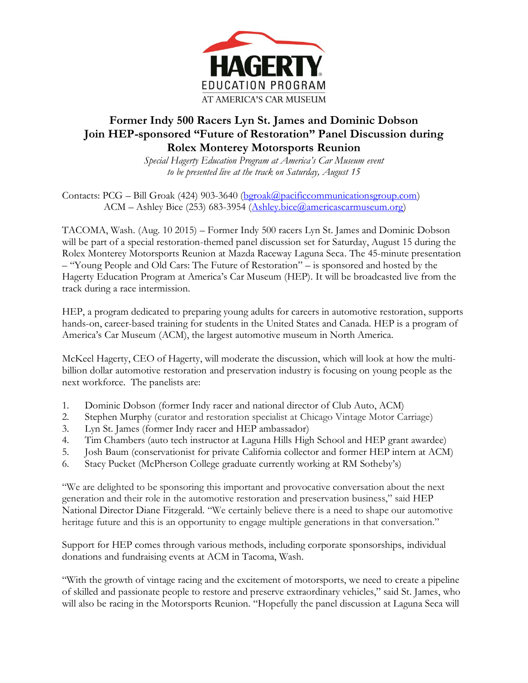

## **Former Indy 500 Racers Lyn St. James and Dominic Dobson Join HEP-sponsored "Future of Restoration" Panel Discussion during Rolex Monterey Motorsports Reunion**

*Special Hagerty Education Program at America's Car Museum event to be presented live at the track on Saturday, August 15*

Contacts: PCG – Bill Groak (424) 903-3640 [\(bgroak@pacificcommunicationsgroup.com\)](mailto:bgroak@pacificcommunicationsgroup.com) ACM – Ashley Bice (253) 683-3954 [\(Ashley.bice@americascarmuseum.org\)](mailto:Ashley.bice@americascarmuseum.org)

TACOMA, Wash. (Aug. 10 2015) – Former Indy 500 racers Lyn St. James and Dominic Dobson will be part of a special restoration-themed panel discussion set for Saturday, August 15 during the Rolex Monterey Motorsports Reunion at Mazda Raceway Laguna Seca. The 45-minute presentation – "Young People and Old Cars: The Future of Restoration" – is sponsored and hosted by the Hagerty Education Program at America's Car Museum (HEP). It will be broadcasted live from the track during a race intermission.

HEP, a program dedicated to preparing young adults for careers in automotive restoration, supports hands-on, career-based training for students in the United States and Canada. HEP is a program of America's Car Museum (ACM), the largest automotive museum in North America.

McKeel Hagerty, CEO of Hagerty, will moderate the discussion, which will look at how the multibillion dollar automotive restoration and preservation industry is focusing on young people as the next workforce. The panelists are:

- 1. Dominic Dobson (former Indy racer and national director of Club Auto, ACM)
- 2. Stephen Murphy (curator and restoration specialist at Chicago Vintage Motor Carriage)
- 3. Lyn St. James (former Indy racer and HEP ambassador)
- 4. Tim Chambers (auto tech instructor at Laguna Hills High School and HEP grant awardee)
- 5. Josh Baum (conservationist for private California collector and former HEP intern at ACM)
- 6. Stacy Pucket (McPherson College graduate currently working at RM Sotheby's)

"We are delighted to be sponsoring this important and provocative conversation about the next generation and their role in the automotive restoration and preservation business," said HEP National Director Diane Fitzgerald. "We certainly believe there is a need to shape our automotive heritage future and this is an opportunity to engage multiple generations in that conversation."

Support for HEP comes through various methods, including corporate sponsorships, individual donations and fundraising events at ACM in Tacoma, Wash.

"With the growth of vintage racing and the excitement of motorsports, we need to create a pipeline of skilled and passionate people to restore and preserve extraordinary vehicles," said St. James, who will also be racing in the Motorsports Reunion. "Hopefully the panel discussion at Laguna Seca will